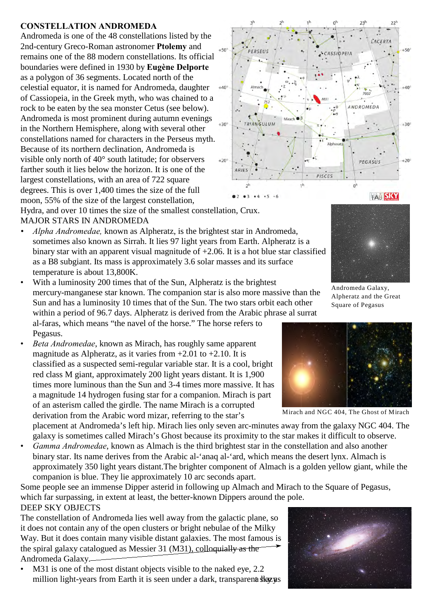## **CONSTELLATION ANDROMEDA**

Andromeda is one of the 48 constellations listed by the 2nd-century Greco-Roman astronomer **Ptolemy** and remains one of the 88 modern constellations. Its official boundaries were defined in 1930 by **Eugène Delporte** as a polygon of 36 segments. Located north of the celestial equator, it is named for Andromeda, daughter of Cassiopeia, in the Greek myth, who was chained to a rock to be eaten by the sea monster Cetus (see below). Andromeda is most prominent during autumn evenings in the Northern Hemisphere, along with several other constellations named for characters in the Perseus myth. Because of its northern declination, Andromeda is visible only north of 40° south latitude; for observers farther south it lies below the horizon. It is one of the largest constellations, with an area of 722 square degrees. This is over 1,400 times the size of the full moon, 55% of the size of the largest constellation, Hydra, and over 10 times the size of the smallest constellation, Crux.



- *Alpha Andromedae,* known as Alpheratz, is the brightest star in Andromeda, sometimes also known as Sirrah. It lies 97 light years from Earth. Alpheratz is a binary star with an apparent visual magnitude of +2.06. It is a hot blue star classified as a B8 subgiant. Its mass is approximately 3.6 solar masses and its surface temperature is about 13,800K.
- With a luminosity 200 times that of the Sun, Alpheratz is the brightest mercury-manganese star known. The companion star is also more massive than the Sun and has a luminosity 10 times that of the Sun. The two stars orbit each other within a period of 96.7 days. Alpheratz is derived from the Arabic phrase al surrat al-faras, which means "the navel of the horse." The horse refers to Pegasus.
- *Beta Andromedae*, known as Mirach, has roughly same apparent magnitude as Alpheratz, as it varies from  $+2.01$  to  $+2.10$ . It is classified as a suspected semi-regular variable star. It is a cool, bright red class M giant, approximately 200 light years distant. It is 1,900 times more luminous than the Sun and 3-4 times more massive. It has a magnitude 14 hydrogen fusing star for a companion. Mirach is part of an asterism called the girdle. The name Mirach is a corrupted derivation from the Arabic word mizar, referring to the star's

placement at Andromeda's left hip. Mirach lies only seven arc-minutes away from the galaxy NGC 404. The galaxy is sometimes called Mirach's Ghost because its proximity to the star makes it difficult to observe.

• *Gamma Andromedae*, known as Almach is the third brightest star in the constellation and also another binary star. Its name derives from the Arabic al-'anaq al-'ard, which means the desert lynx. Almach is approximately 350 light years distant.The brighter component of Almach is a golden yellow giant, while the companion is blue. They lie approximately 10 arc seconds apart.

Some people see an immense Dipper asterid in following up Almach and Mirach to the Square of Pegasus, which far surpassing, in extent at least, the better-known Dippers around the pole. DEEP SKY OBJECTS

The constellation of Andromeda lies well away from the galactic plane, so it does not contain any of the open clusters or bright nebulae of the Milky Way. But it does contain many visible distant galaxies. The most famous is the spiral galaxy catalogued as Messier 31 (M31), colloquially as the Andromeda Galaxy.

M31 is one of the most distant objects visible to the naked eye, 2.2 million light-years from Earth it is seen under a dark, transparena shay us





Andromeda Galaxy, Alpheratz and the Great Square of Pegasus



Mirach and NGC 404, The Ghost of Mirach